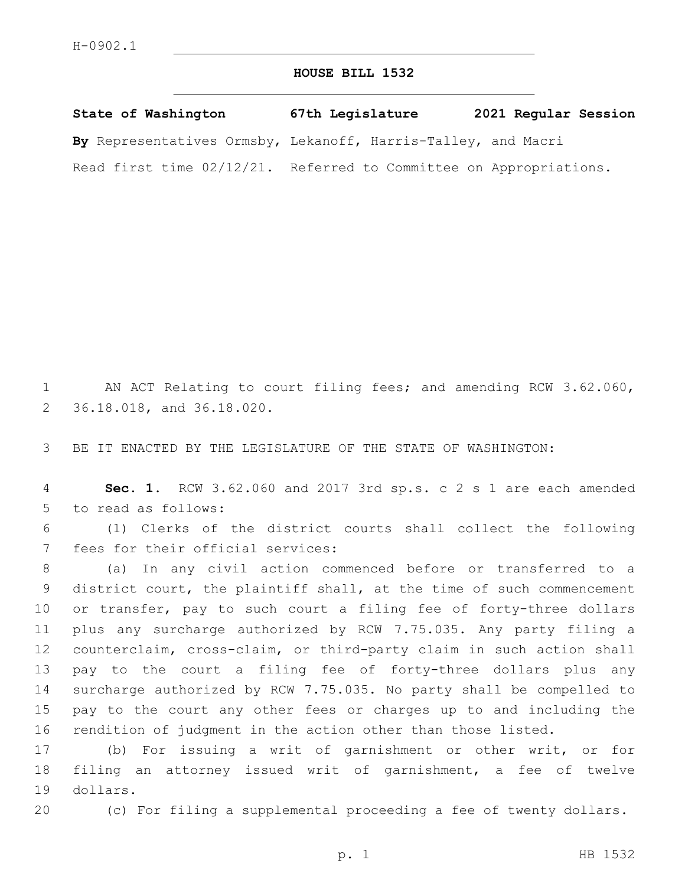## **HOUSE BILL 1532**

**State of Washington 67th Legislature 2021 Regular Session By** Representatives Ormsby, Lekanoff, Harris-Talley, and Macri Read first time 02/12/21. Referred to Committee on Appropriations.

1 AN ACT Relating to court filing fees; and amending RCW 3.62.060, 2 36.18.018, and 36.18.020.

3 BE IT ENACTED BY THE LEGISLATURE OF THE STATE OF WASHINGTON:

4 **Sec. 1.** RCW 3.62.060 and 2017 3rd sp.s. c 2 s 1 are each amended 5 to read as follows:

6 (1) Clerks of the district courts shall collect the following 7 fees for their official services:

 (a) In any civil action commenced before or transferred to a district court, the plaintiff shall, at the time of such commencement 10 or transfer, pay to such court a filing fee of forty-three dollars plus any surcharge authorized by RCW 7.75.035. Any party filing a counterclaim, cross-claim, or third-party claim in such action shall pay to the court a filing fee of forty-three dollars plus any surcharge authorized by RCW 7.75.035. No party shall be compelled to pay to the court any other fees or charges up to and including the rendition of judgment in the action other than those listed.

17 (b) For issuing a writ of garnishment or other writ, or for 18 filing an attorney issued writ of garnishment, a fee of twelve 19 dollars.

20 (c) For filing a supplemental proceeding a fee of twenty dollars.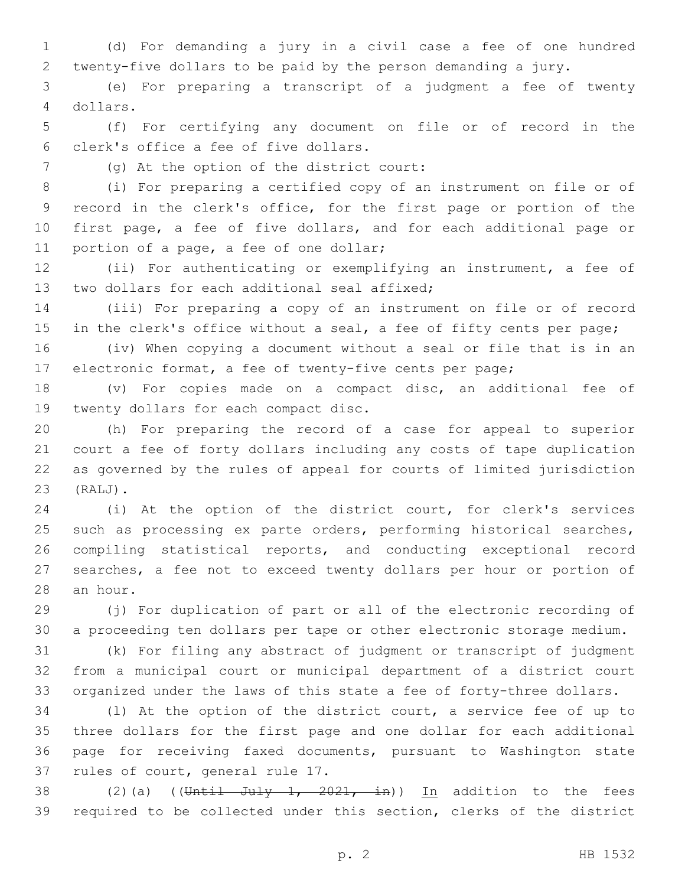(d) For demanding a jury in a civil case a fee of one hundred twenty-five dollars to be paid by the person demanding a jury.

 (e) For preparing a transcript of a judgment a fee of twenty dollars.4

 (f) For certifying any document on file or of record in the clerk's office a fee of five dollars.6

(g) At the option of the district court:7

 (i) For preparing a certified copy of an instrument on file or of record in the clerk's office, for the first page or portion of the first page, a fee of five dollars, and for each additional page or 11 portion of a page, a fee of one dollar;

 (ii) For authenticating or exemplifying an instrument, a fee of 13 two dollars for each additional seal affixed;

 (iii) For preparing a copy of an instrument on file or of record 15 in the clerk's office without a seal, a fee of fifty cents per page;

 (iv) When copying a document without a seal or file that is in an electronic format, a fee of twenty-five cents per page;

 (v) For copies made on a compact disc, an additional fee of 19 twenty dollars for each compact disc.

 (h) For preparing the record of a case for appeal to superior court a fee of forty dollars including any costs of tape duplication as governed by the rules of appeal for courts of limited jurisdiction (RALJ).23

 (i) At the option of the district court, for clerk's services 25 such as processing ex parte orders, performing historical searches, compiling statistical reports, and conducting exceptional record searches, a fee not to exceed twenty dollars per hour or portion of 28 an hour.

 (j) For duplication of part or all of the electronic recording of a proceeding ten dollars per tape or other electronic storage medium.

 (k) For filing any abstract of judgment or transcript of judgment from a municipal court or municipal department of a district court organized under the laws of this state a fee of forty-three dollars.

 (l) At the option of the district court, a service fee of up to three dollars for the first page and one dollar for each additional page for receiving faxed documents, pursuant to Washington state 37 rules of court, general rule 17.

38 (2)(a) ((Until July 1, 2021, in)) In addition to the fees required to be collected under this section, clerks of the district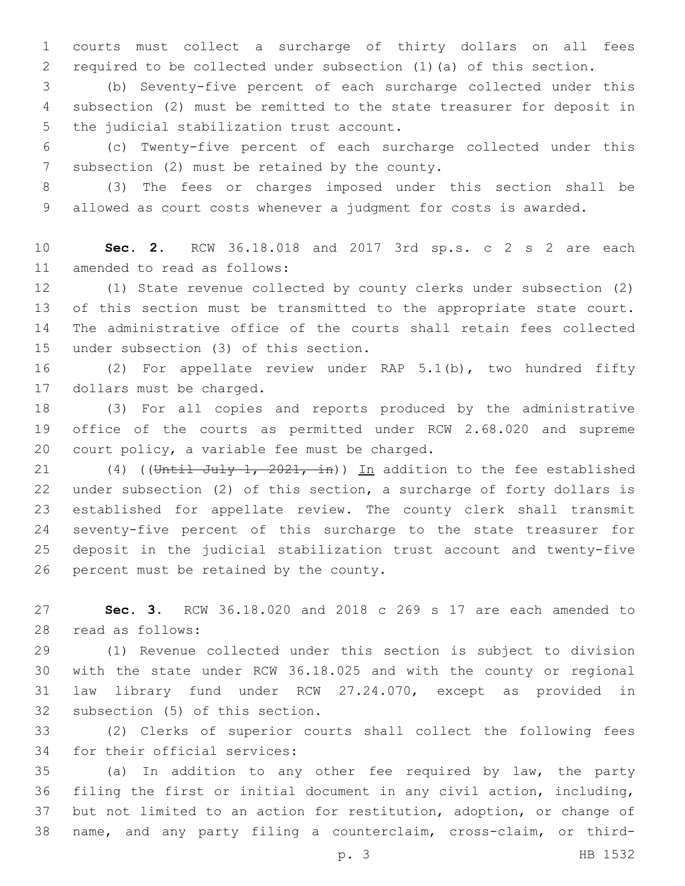courts must collect a surcharge of thirty dollars on all fees required to be collected under subsection (1)(a) of this section.

 (b) Seventy-five percent of each surcharge collected under this subsection (2) must be remitted to the state treasurer for deposit in 5 the judicial stabilization trust account.

 (c) Twenty-five percent of each surcharge collected under this 7 subsection (2) must be retained by the county.

 (3) The fees or charges imposed under this section shall be allowed as court costs whenever a judgment for costs is awarded.

 **Sec. 2.** RCW 36.18.018 and 2017 3rd sp.s. c 2 s 2 are each 11 amended to read as follows:

 (1) State revenue collected by county clerks under subsection (2) of this section must be transmitted to the appropriate state court. The administrative office of the courts shall retain fees collected 15 under subsection (3) of this section.

 (2) For appellate review under RAP 5.1(b), two hundred fifty 17 dollars must be charged.

 (3) For all copies and reports produced by the administrative office of the courts as permitted under RCW 2.68.020 and supreme 20 court policy, a variable fee must be charged.

21 (4) ((Until July 1, 2021, in)) In addition to the fee established under subsection (2) of this section, a surcharge of forty dollars is established for appellate review. The county clerk shall transmit seventy-five percent of this surcharge to the state treasurer for deposit in the judicial stabilization trust account and twenty-five 26 percent must be retained by the county.

 **Sec. 3.** RCW 36.18.020 and 2018 c 269 s 17 are each amended to 28 read as follows:

 (1) Revenue collected under this section is subject to division with the state under RCW 36.18.025 and with the county or regional law library fund under RCW 27.24.070, except as provided in 32 subsection (5) of this section.

 (2) Clerks of superior courts shall collect the following fees 34 for their official services:

 (a) In addition to any other fee required by law, the party filing the first or initial document in any civil action, including, but not limited to an action for restitution, adoption, or change of name, and any party filing a counterclaim, cross-claim, or third-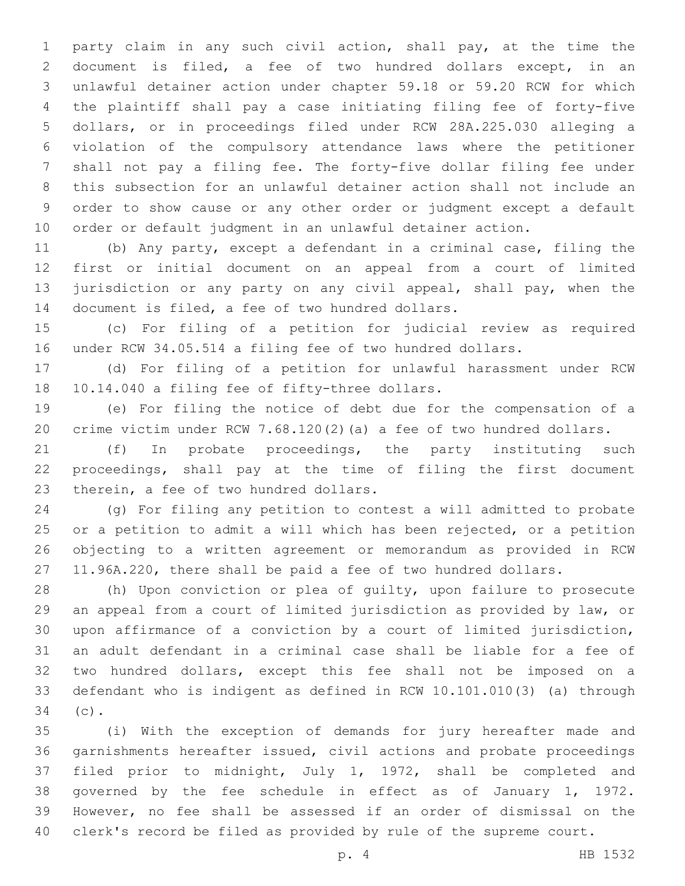party claim in any such civil action, shall pay, at the time the document is filed, a fee of two hundred dollars except, in an unlawful detainer action under chapter 59.18 or 59.20 RCW for which the plaintiff shall pay a case initiating filing fee of forty-five dollars, or in proceedings filed under RCW 28A.225.030 alleging a violation of the compulsory attendance laws where the petitioner shall not pay a filing fee. The forty-five dollar filing fee under this subsection for an unlawful detainer action shall not include an order to show cause or any other order or judgment except a default order or default judgment in an unlawful detainer action.

 (b) Any party, except a defendant in a criminal case, filing the first or initial document on an appeal from a court of limited 13 jurisdiction or any party on any civil appeal, shall pay, when the 14 document is filed, a fee of two hundred dollars.

 (c) For filing of a petition for judicial review as required under RCW 34.05.514 a filing fee of two hundred dollars.

 (d) For filing of a petition for unlawful harassment under RCW 18 10.14.040 a filing fee of fifty-three dollars.

 (e) For filing the notice of debt due for the compensation of a crime victim under RCW 7.68.120(2)(a) a fee of two hundred dollars.

 (f) In probate proceedings, the party instituting such proceedings, shall pay at the time of filing the first document 23 therein, a fee of two hundred dollars.

 (g) For filing any petition to contest a will admitted to probate or a petition to admit a will which has been rejected, or a petition objecting to a written agreement or memorandum as provided in RCW 11.96A.220, there shall be paid a fee of two hundred dollars.

 (h) Upon conviction or plea of guilty, upon failure to prosecute an appeal from a court of limited jurisdiction as provided by law, or upon affirmance of a conviction by a court of limited jurisdiction, an adult defendant in a criminal case shall be liable for a fee of two hundred dollars, except this fee shall not be imposed on a defendant who is indigent as defined in RCW 10.101.010(3) (a) through 34 (c).

 (i) With the exception of demands for jury hereafter made and garnishments hereafter issued, civil actions and probate proceedings filed prior to midnight, July 1, 1972, shall be completed and governed by the fee schedule in effect as of January 1, 1972. However, no fee shall be assessed if an order of dismissal on the clerk's record be filed as provided by rule of the supreme court.